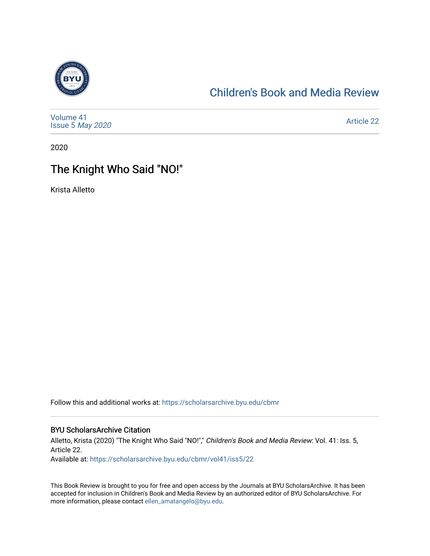

#### [Children's Book and Media Review](https://scholarsarchive.byu.edu/cbmr)

| Volume 41<br>Issue 5 May 2020 | <b>Article 22</b> |
|-------------------------------|-------------------|
|-------------------------------|-------------------|

2020

## The Knight Who Said "NO!"

Krista Alletto

Follow this and additional works at: [https://scholarsarchive.byu.edu/cbmr](https://scholarsarchive.byu.edu/cbmr?utm_source=scholarsarchive.byu.edu%2Fcbmr%2Fvol41%2Fiss5%2F22&utm_medium=PDF&utm_campaign=PDFCoverPages) 

#### BYU ScholarsArchive Citation

Alletto, Krista (2020) "The Knight Who Said "NO!"," Children's Book and Media Review: Vol. 41: Iss. 5, Article 22. Available at: [https://scholarsarchive.byu.edu/cbmr/vol41/iss5/22](https://scholarsarchive.byu.edu/cbmr/vol41/iss5/22?utm_source=scholarsarchive.byu.edu%2Fcbmr%2Fvol41%2Fiss5%2F22&utm_medium=PDF&utm_campaign=PDFCoverPages)

This Book Review is brought to you for free and open access by the Journals at BYU ScholarsArchive. It has been accepted for inclusion in Children's Book and Media Review by an authorized editor of BYU ScholarsArchive. For more information, please contact [ellen\\_amatangelo@byu.edu.](mailto:ellen_amatangelo@byu.edu)